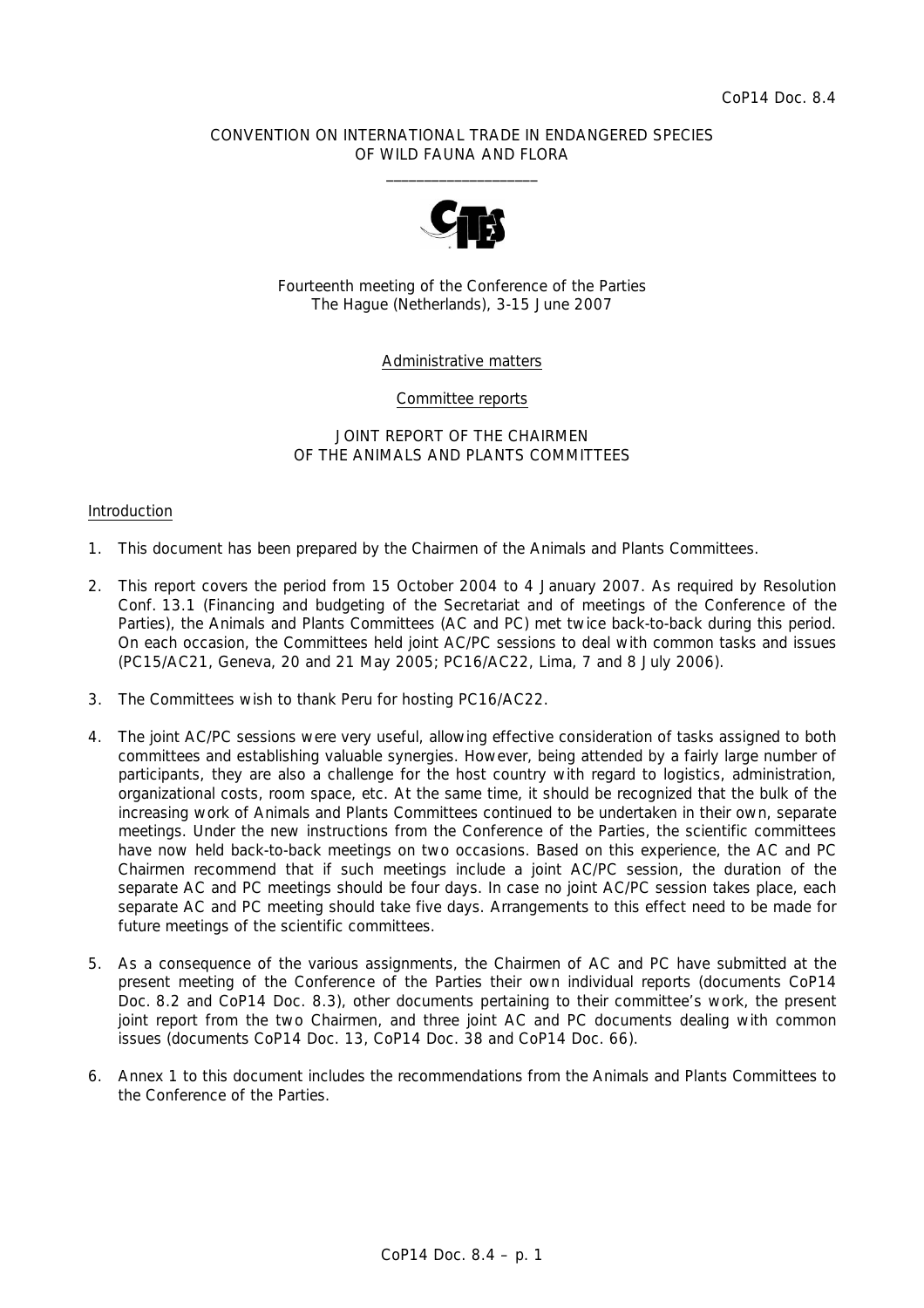### CONVENTION ON INTERNATIONAL TRADE IN ENDANGERED SPECIES OF WILD FAUNA AND FLORA  $\frac{1}{2}$  , and the set of the set of the set of the set of the set of the set of the set of the set of the set of the set of the set of the set of the set of the set of the set of the set of the set of the set of the set



Fourteenth meeting of the Conference of the Parties The Hague (Netherlands), 3-15 June 2007

### Administrative matters

### Committee reports

### JOINT REPORT OF THE CHAIRMEN OF THE ANIMALS AND PLANTS COMMITTEES

#### Introduction

- 1. This document has been prepared by the Chairmen of the Animals and Plants Committees.
- 2. This report covers the period from 15 October 2004 to 4 January 2007. As required by Resolution Conf. 13.1 (Financing and budgeting of the Secretariat and of meetings of the Conference of the Parties), the Animals and Plants Committees (AC and PC) met twice back-to-back during this period. On each occasion, the Committees held joint AC/PC sessions to deal with common tasks and issues (PC15/AC21, Geneva, 20 and 21 May 2005; PC16/AC22, Lima, 7 and 8 July 2006).
- 3. The Committees wish to thank Peru for hosting PC16/AC22.
- 4. The joint AC/PC sessions were very useful, allowing effective consideration of tasks assigned to both committees and establishing valuable synergies. However, being attended by a fairly large number of participants, they are also a challenge for the host country with regard to logistics, administration, organizational costs, room space, etc. At the same time, it should be recognized that the bulk of the increasing work of Animals and Plants Committees continued to be undertaken in their own, separate meetings. Under the new instructions from the Conference of the Parties, the scientific committees have now held back-to-back meetings on two occasions. Based on this experience, the AC and PC Chairmen recommend that if such meetings include a joint AC/PC session, the duration of the separate AC and PC meetings should be four days. In case no joint AC/PC session takes place, each separate AC and PC meeting should take five days. Arrangements to this effect need to be made for future meetings of the scientific committees.
- 5. As a consequence of the various assignments, the Chairmen of AC and PC have submitted at the present meeting of the Conference of the Parties their own individual reports (documents CoP14 Doc. 8.2 and CoP14 Doc. 8.3), other documents pertaining to their committee's work, the present joint report from the two Chairmen, and three joint AC and PC documents dealing with common issues (documents CoP14 Doc. 13, CoP14 Doc. 38 and CoP14 Doc. 66).
- 6. Annex 1 to this document includes the recommendations from the Animals and Plants Committees to the Conference of the Parties.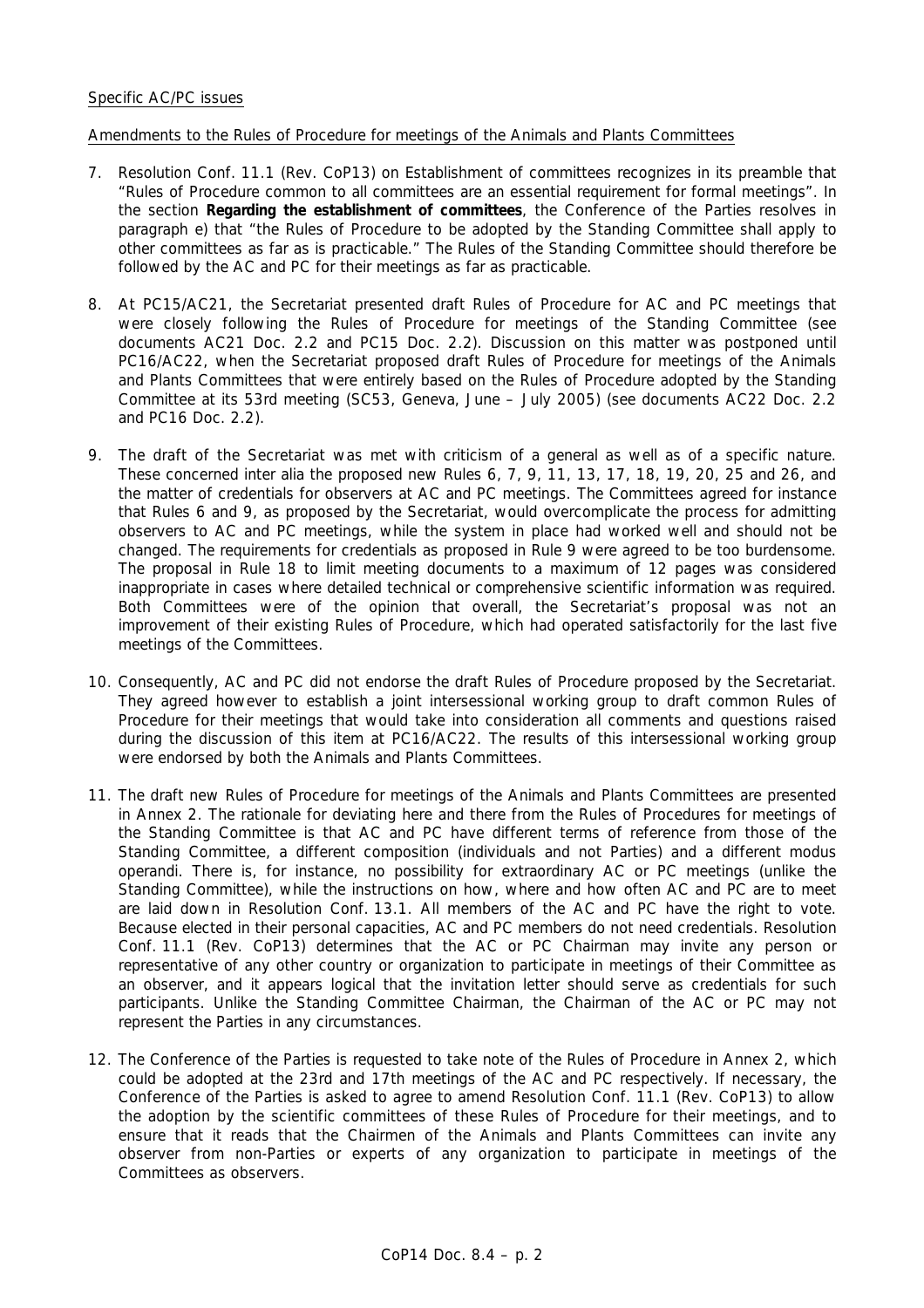### Specific AC/PC issues

### Amendments to the Rules of Procedure for meetings of the Animals and Plants Committees

- 7. Resolution Conf. 11.1 (Rev. CoP13) on Establishment of committees recognizes in its preamble that "Rules of Procedure common to all committees are an essential requirement for formal meetings". In the section *Regarding the establishment of committees*, the Conference of the Parties resolves in paragraph e) that "the Rules of Procedure to be adopted by the Standing Committee shall apply to other committees as far as is practicable." The Rules of the Standing Committee should therefore be followed by the AC and PC for their meetings as far as practicable.
- 8. At PC15/AC21, the Secretariat presented draft Rules of Procedure for AC and PC meetings that were closely following the Rules of Procedure for meetings of the Standing Committee (see documents AC21 Doc. 2.2 and PC15 Doc. 2.2). Discussion on this matter was postponed until PC16/AC22, when the Secretariat proposed draft Rules of Procedure for meetings of the Animals and Plants Committees that were entirely based on the Rules of Procedure adopted by the Standing Committee at its 53rd meeting (SC53, Geneva, June – July 2005) (see documents AC22 Doc. 2.2 and PC16 Doc. 2.2).
- 9. The draft of the Secretariat was met with criticism of a general as well as of a specific nature. These concerned *inter alia* the proposed new Rules 6, 7, 9, 11, 13, 17, 18, 19, 20, 25 and 26, and the matter of credentials for observers at AC and PC meetings. The Committees agreed for instance that Rules 6 and 9, as proposed by the Secretariat, would overcomplicate the process for admitting observers to AC and PC meetings, while the system in place had worked well and should not be changed. The requirements for credentials as proposed in Rule 9 were agreed to be too burdensome. The proposal in Rule 18 to limit meeting documents to a maximum of 12 pages was considered inappropriate in cases where detailed technical or comprehensive scientific information was required. Both Committees were of the opinion that overall, the Secretariat's proposal was not an improvement of their existing Rules of Procedure, which had operated satisfactorily for the last five meetings of the Committees.
- 10. Consequently, AC and PC did not endorse the draft Rules of Procedure proposed by the Secretariat. They agreed however to establish a joint intersessional working group to draft common Rules of Procedure for their meetings that would take into consideration all comments and questions raised during the discussion of this item at PC16/AC22. The results of this intersessional working group were endorsed by both the Animals and Plants Committees.
- 11. The draft new Rules of Procedure for meetings of the Animals and Plants Committees are presented in Annex 2. The rationale for deviating here and there from the Rules of Procedures for meetings of the Standing Committee is that AC and PC have different terms of reference from those of the Standing Committee, a different composition (individuals and not Parties) and a different *modus operandi*. There is, for instance, no possibility for extraordinary AC or PC meetings (unlike the Standing Committee), while the instructions on how, where and how often AC and PC are to meet are laid down in Resolution Conf. 13.1. All members of the AC and PC have the right to vote. Because elected in their personal capacities, AC and PC members do not need credentials. Resolution Conf. 11.1 (Rev. CoP13) determines that the AC or PC Chairman may invite any person or representative of any other country or organization to participate in meetings of their Committee as an observer, and it appears logical that the invitation letter should serve as credentials for such participants. Unlike the Standing Committee Chairman, the Chairman of the AC or PC may not represent the Parties in any circumstances.
- 12. The Conference of the Parties is requested to take note of the Rules of Procedure in Annex 2, which could be adopted at the 23rd and 17th meetings of the AC and PC respectively. If necessary, the Conference of the Parties is asked to agree to amend Resolution Conf. 11.1 (Rev. CoP13) to allow the adoption by the scientific committees of these Rules of Procedure for their meetings, and to ensure that it reads that the Chairmen of the Animals and Plants Committees can invite any observer from non-Parties or experts of any organization to participate in meetings of the Committees as observers.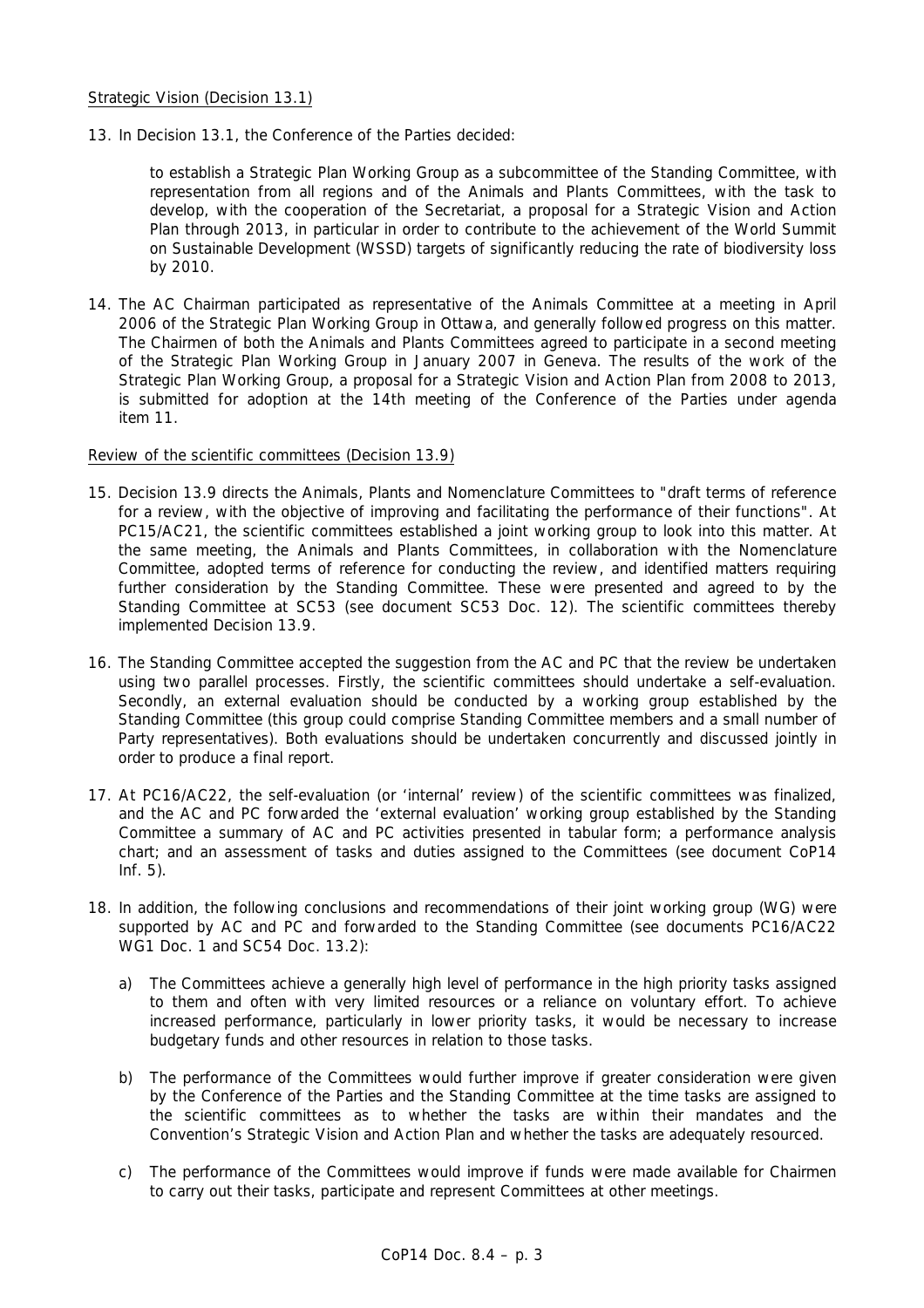13. In Decision 13.1, the Conference of the Parties decided:

 *to establish a Strategic Plan Working Group as a subcommittee of the Standing Committee, with representation from all regions and of the Animals and Plants Committees, with the task to develop, with the cooperation of the Secretariat, a proposal for a Strategic Vision and Action Plan through 2013, in particular in order to contribute to the achievement of the World Summit on Sustainable Development (WSSD) targets of significantly reducing the rate of biodiversity loss by 2010.* 

14. The AC Chairman participated as representative of the Animals Committee at a meeting in April 2006 of the Strategic Plan Working Group in Ottawa, and generally followed progress on this matter. The Chairmen of both the Animals and Plants Committees agreed to participate in a second meeting of the Strategic Plan Working Group in January 2007 in Geneva. The results of the work of the Strategic Plan Working Group, a proposal for a Strategic Vision and Action Plan from 2008 to 2013, is submitted for adoption at the 14th meeting of the Conference of the Parties under agenda item 11.

### Review of the scientific committees (Decision 13.9)

- 15. Decision 13.9 directs the Animals, Plants and Nomenclature Committees to "draft terms of reference for a review, with the objective of improving and facilitating the performance of their functions". At PC15/AC21, the scientific committees established a joint working group to look into this matter. At the same meeting, the Animals and Plants Committees, in collaboration with the Nomenclature Committee, adopted terms of reference for conducting the review, and identified matters requiring further consideration by the Standing Committee. These were presented and agreed to by the Standing Committee at SC53 (see document SC53 Doc. 12). The scientific committees thereby implemented Decision 13.9.
- 16. The Standing Committee accepted the suggestion from the AC and PC that the review be undertaken using two parallel processes. Firstly, the scientific committees should undertake a self-evaluation. Secondly, an external evaluation should be conducted by a working group established by the Standing Committee (this group could comprise Standing Committee members and a small number of Party representatives). Both evaluations should be undertaken concurrently and discussed jointly in order to produce a final report.
- 17. At PC16/AC22, the self-evaluation (or 'internal' review) of the scientific committees was finalized, and the AC and PC forwarded the 'external evaluation' working group established by the Standing Committee a summary of AC and PC activities presented in tabular form; a performance analysis chart; and an assessment of tasks and duties assigned to the Committees (see document CoP14 Inf. 5).
- 18. In addition, the following conclusions and recommendations of their joint working group (WG) were supported by AC and PC and forwarded to the Standing Committee (see documents PC16/AC22 WG1 Doc. 1 and SC54 Doc. 13.2):
	- a) The Committees achieve a generally high level of performance in the high priority tasks assigned to them and often with very limited resources or a reliance on voluntary effort. To achieve increased performance, particularly in lower priority tasks, it would be necessary to increase budgetary funds and other resources in relation to those tasks.
	- b) The performance of the Committees would further improve if greater consideration were given by the Conference of the Parties and the Standing Committee at the time tasks are assigned to the scientific committees as to whether the tasks are within their mandates and the Convention's Strategic Vision and Action Plan and whether the tasks are adequately resourced.
	- c) The performance of the Committees would improve if funds were made available for Chairmen to carry out their tasks, participate and represent Committees at other meetings.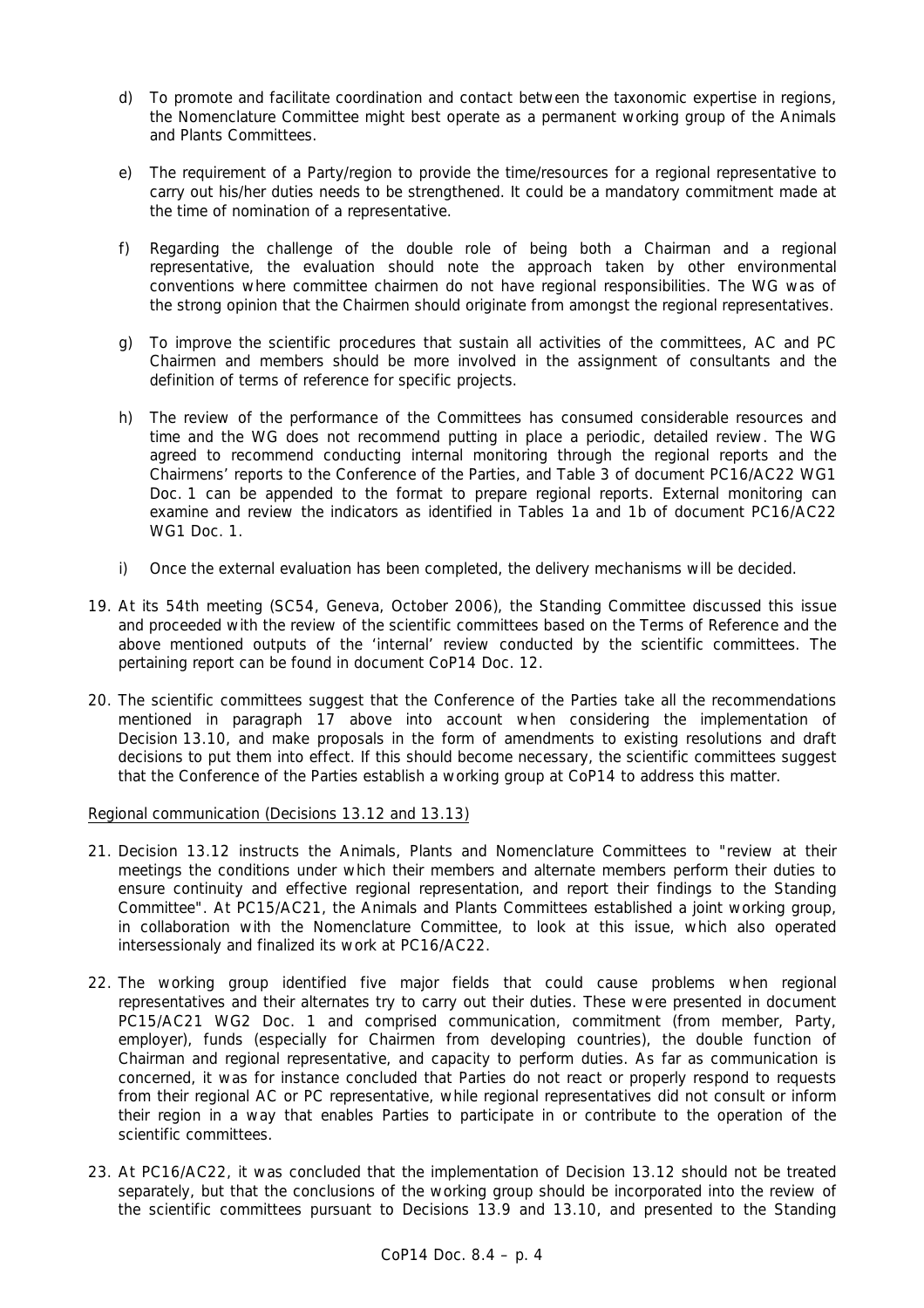- d) To promote and facilitate coordination and contact between the taxonomic expertise in regions, the Nomenclature Committee might best operate as a permanent working group of the Animals and Plants Committees.
- e) The requirement of a Party/region to provide the time/resources for a regional representative to carry out his/her duties needs to be strengthened. It could be a mandatory commitment made at the time of nomination of a representative.
- f) Regarding the challenge of the double role of being both a Chairman and a regional representative, the evaluation should note the approach taken by other environmental conventions where committee chairmen do not have regional responsibilities. The WG was of the strong opinion that the Chairmen should originate from amongst the regional representatives.
- g) To improve the scientific procedures that sustain all activities of the committees, AC and PC Chairmen and members should be more involved in the assignment of consultants and the definition of terms of reference for specific projects.
- h) The review of the performance of the Committees has consumed considerable resources and time and the WG does not recommend putting in place a periodic, detailed review. The WG agreed to recommend conducting internal monitoring through the regional reports and the Chairmens' reports to the Conference of the Parties, and Table 3 of document PC16/AC22 WG1 Doc. 1 can be appended to the format to prepare regional reports. External monitoring can examine and review the indicators as identified in Tables 1a and 1b of document PC16/AC22 WG1 Doc. 1.
- i) Once the external evaluation has been completed, the delivery mechanisms will be decided.
- 19. At its 54th meeting (SC54, Geneva, October 2006), the Standing Committee discussed this issue and proceeded with the review of the scientific committees based on the Terms of Reference and the above mentioned outputs of the 'internal' review conducted by the scientific committees. The pertaining report can be found in document CoP14 Doc. 12.
- 20. The scientific committees suggest that the Conference of the Parties take all the recommendations mentioned in paragraph 17 above into account when considering the implementation of Decision 13.10, and make proposals in the form of amendments to existing resolutions and draft decisions to put them into effect. If this should become necessary, the scientific committees suggest that the Conference of the Parties establish a working group at CoP14 to address this matter.

Regional communication (Decisions 13.12 and 13.13)

- 21. Decision 13.12 instructs the Animals, Plants and Nomenclature Committees to "review at their meetings the conditions under which their members and alternate members perform their duties to ensure continuity and effective regional representation, and report their findings to the Standing Committee". At PC15/AC21, the Animals and Plants Committees established a joint working group, in collaboration with the Nomenclature Committee, to look at this issue, which also operated intersessionaly and finalized its work at PC16/AC22.
- 22. The working group identified five major fields that could cause problems when regional representatives and their alternates try to carry out their duties. These were presented in document PC15/AC21 WG2 Doc. 1 and comprised communication, commitment (from member, Party, employer), funds (especially for Chairmen from developing countries), the double function of Chairman and regional representative, and capacity to perform duties. As far as communication is concerned, it was for instance concluded that Parties do not react or properly respond to requests from their regional AC or PC representative, while regional representatives did not consult or inform their region in a way that enables Parties to participate in or contribute to the operation of the scientific committees.
- 23. At PC16/AC22, it was concluded that the implementation of Decision 13.12 should not be treated separately, but that the conclusions of the working group should be incorporated into the review of the scientific committees pursuant to Decisions 13.9 and 13.10, and presented to the Standing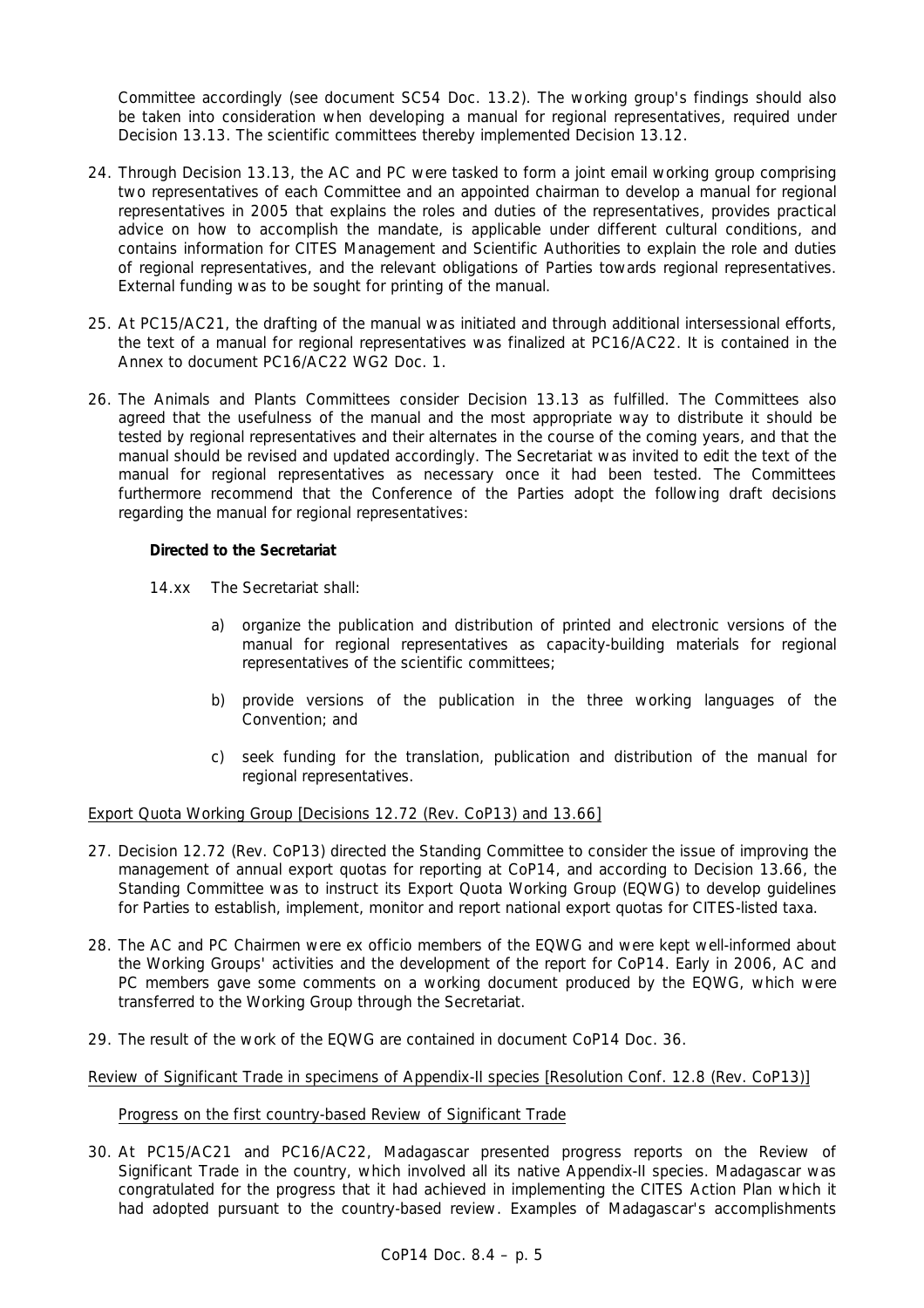Committee accordingly (see document SC54 Doc. 13.2). The working group's findings should also be taken into consideration when developing a manual for regional representatives, required under Decision 13.13. The scientific committees thereby implemented Decision 13.12.

- 24. Through Decision 13.13, the AC and PC were tasked to form a joint email working group comprising two representatives of each Committee and an appointed chairman to develop a manual for regional representatives in 2005 that explains the roles and duties of the representatives, provides practical advice on how to accomplish the mandate, is applicable under different cultural conditions, and contains information for CITES Management and Scientific Authorities to explain the role and duties of regional representatives, and the relevant obligations of Parties towards regional representatives. External funding was to be sought for printing of the manual.
- 25. At PC15/AC21, the drafting of the manual was initiated and through additional intersessional efforts, the text of a manual for regional representatives was finalized at PC16/AC22. It is contained in the Annex to document PC16/AC22 WG2 Doc. 1.
- 26. The Animals and Plants Committees consider Decision 13.13 as fulfilled. The Committees also agreed that the usefulness of the manual and the most appropriate way to distribute it should be tested by regional representatives and their alternates in the course of the coming years, and that the manual should be revised and updated accordingly. The Secretariat was invited to edit the text of the manual for regional representatives as necessary once it had been tested. The Committees furthermore recommend that the Conference of the Parties adopt the following draft decisions regarding the manual for regional representatives:

## **Directed to the Secretariat**

- 14.xx The Secretariat shall:
	- a) organize the publication and distribution of printed and electronic versions of the manual for regional representatives as capacity-building materials for regional representatives of the scientific committees;
	- b) provide versions of the publication in the three working languages of the Convention; and
	- c) seek funding for the translation, publication and distribution of the manual for regional representatives.

# Export Quota Working Group [Decisions 12.72 (Rev. CoP13) and 13.66]

- 27. Decision 12.72 (Rev. CoP13) directed the Standing Committee to consider the issue of improving the management of annual export quotas for reporting at CoP14, and according to Decision 13.66, the Standing Committee was to instruct its Export Quota Working Group (EQWG) to develop guidelines for Parties to establish, implement, monitor and report national export quotas for CITES-listed taxa.
- 28. The AC and PC Chairmen were *ex officio* members of the EQWG and were kept well-informed about the Working Groups' activities and the development of the report for CoP14. Early in 2006, AC and PC members gave some comments on a working document produced by the EQWG, which were transferred to the Working Group through the Secretariat.
- 29. The result of the work of the EQWG are contained in document CoP14 Doc. 36.

## Review of Significant Trade in specimens of Appendix-II species [Resolution Conf. 12.8 (Rev. CoP13)]

## Progress on the first country-based Review of Significant Trade

30. At PC15/AC21 and PC16/AC22, Madagascar presented progress reports on the Review of Significant Trade in the country, which involved all its native Appendix-II species. Madagascar was congratulated for the progress that it had achieved in implementing the CITES Action Plan which it had adopted pursuant to the country-based review. Examples of Madagascar's accomplishments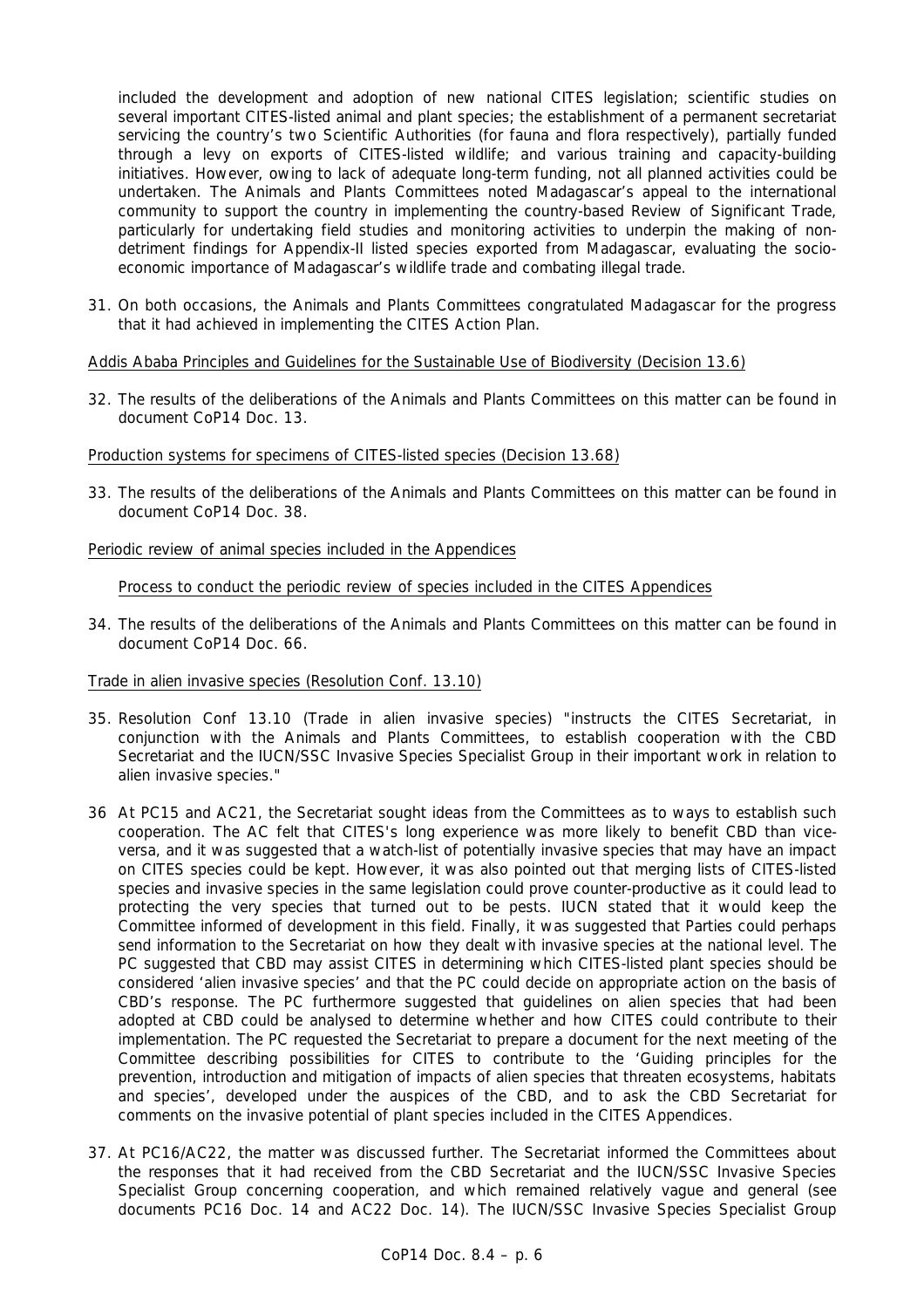included the development and adoption of new national CITES legislation; scientific studies on several important CITES-listed animal and plant species; the establishment of a permanent secretariat servicing the country's two Scientific Authorities (for fauna and flora respectively), partially funded through a levy on exports of CITES-listed wildlife; and various training and capacity-building initiatives. However, owing to lack of adequate long-term funding, not all planned activities could be undertaken. The Animals and Plants Committees noted Madagascar's appeal to the international community to support the country in implementing the country-based Review of Significant Trade, particularly for undertaking field studies and monitoring activities to underpin the making of nondetriment findings for Appendix-II listed species exported from Madagascar, evaluating the socioeconomic importance of Madagascar's wildlife trade and combating illegal trade.

31. On both occasions, the Animals and Plants Committees congratulated Madagascar for the progress that it had achieved in implementing the CITES Action Plan.

Addis Ababa Principles and Guidelines for the Sustainable Use of Biodiversity (Decision 13.6)

32. The results of the deliberations of the Animals and Plants Committees on this matter can be found in document CoP14 Doc. 13.

### Production systems for specimens of CITES-listed species (Decision 13.68)

33. The results of the deliberations of the Animals and Plants Committees on this matter can be found in document CoP14 Doc. 38.

### Periodic review of animal species included in the Appendices

Process to conduct the periodic review of species included in the CITES Appendices

34. The results of the deliberations of the Animals and Plants Committees on this matter can be found in document CoP14 Doc. 66.

#### Trade in alien invasive species (Resolution Conf. 13.10)

- 35. Resolution Conf 13.10 (Trade in alien invasive species) "instructs the CITES Secretariat, in conjunction with the Animals and Plants Committees, to establish cooperation with the CBD Secretariat and the IUCN/SSC Invasive Species Specialist Group in their important work in relation to alien invasive species."
- 36 At PC15 and AC21, the Secretariat sought ideas from the Committees as to ways to establish such cooperation. The AC felt that CITES's long experience was more likely to benefit CBD than viceversa, and it was suggested that a watch-list of potentially invasive species that may have an impact on CITES species could be kept. However, it was also pointed out that merging lists of CITES-listed species and invasive species in the same legislation could prove counter-productive as it could lead to protecting the very species that turned out to be pests. IUCN stated that it would keep the Committee informed of development in this field. Finally, it was suggested that Parties could perhaps send information to the Secretariat on how they dealt with invasive species at the national level. The PC suggested that CBD may assist CITES in determining which CITES-listed plant species should be considered 'alien invasive species' and that the PC could decide on appropriate action on the basis of CBD's response. The PC furthermore suggested that guidelines on alien species that had been adopted at CBD could be analysed to determine whether and how CITES could contribute to their implementation. The PC requested the Secretariat to prepare a document for the next meeting of the Committee describing possibilities for CITES to contribute to the 'Guiding principles for the prevention, introduction and mitigation of impacts of alien species that threaten ecosystems, habitats and species', developed under the auspices of the CBD, and to ask the CBD Secretariat for comments on the invasive potential of plant species included in the CITES Appendices.
- 37. At PC16/AC22, the matter was discussed further. The Secretariat informed the Committees about the responses that it had received from the CBD Secretariat and the IUCN/SSC Invasive Species Specialist Group concerning cooperation, and which remained relatively vague and general (see documents PC16 Doc. 14 and AC22 Doc. 14). The IUCN/SSC Invasive Species Specialist Group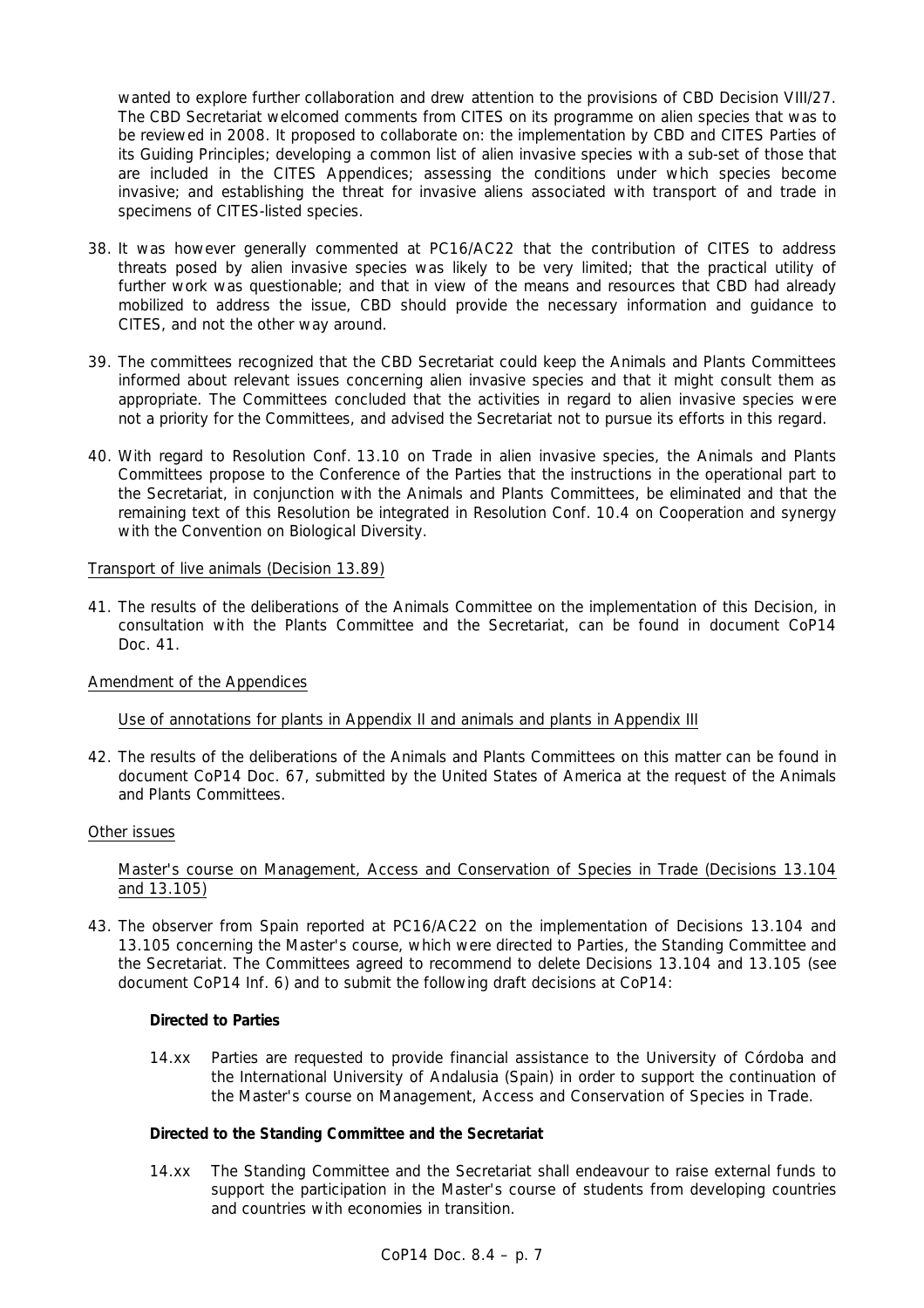wanted to explore further collaboration and drew attention to the provisions of CBD Decision VIII/27. The CBD Secretariat welcomed comments from CITES on its programme on alien species that was to be reviewed in 2008. It proposed to collaborate on: the implementation by CBD and CITES Parties of its Guiding Principles; developing a common list of alien invasive species with a sub-set of those that are included in the CITES Appendices; assessing the conditions under which species become invasive; and establishing the threat for invasive aliens associated with transport of and trade in specimens of CITES-listed species.

- 38. It was however generally commented at PC16/AC22 that the contribution of CITES to address threats posed by alien invasive species was likely to be very limited; that the practical utility of further work was questionable; and that in view of the means and resources that CBD had already mobilized to address the issue, CBD should provide the necessary information and guidance to CITES, and not the other way around.
- 39. The committees recognized that the CBD Secretariat could keep the Animals and Plants Committees informed about relevant issues concerning alien invasive species and that it might consult them as appropriate. The Committees concluded that the activities in regard to alien invasive species were not a priority for the Committees, and advised the Secretariat not to pursue its efforts in this regard.
- 40. With regard to Resolution Conf. 13.10 on Trade in alien invasive species, the Animals and Plants Committees propose to the Conference of the Parties that the instructions in the operational part to the Secretariat, in conjunction with the Animals and Plants Committees, be eliminated and that the remaining text of this Resolution be integrated in Resolution Conf. 10.4 on Cooperation and synergy with the Convention on Biological Diversity.

### Transport of live animals (Decision 13.89)

41. The results of the deliberations of the Animals Committee on the implementation of this Decision, in consultation with the Plants Committee and the Secretariat, can be found in document CoP14 Doc. 41.

## Amendment of the Appendices

## Use of annotations for plants in Appendix II and animals and plants in Appendix III

42. The results of the deliberations of the Animals and Plants Committees on this matter can be found in document CoP14 Doc. 67, submitted by the United States of America at the request of the Animals and Plants Committees.

#### Other issues

### Master's course on Management, Access and Conservation of Species in Trade (Decisions 13.104 and 13.105)

43. The observer from Spain reported at PC16/AC22 on the implementation of Decisions 13.104 and 13.105 concerning the Master's course, which were directed to Parties, the Standing Committee and the Secretariat. The Committees agreed to recommend to delete Decisions 13.104 and 13.105 (see document CoP14 Inf. 6) and to submit the following draft decisions at CoP14:

#### *Directed to Parties*

14.xx Parties are requested to provide financial assistance to the University of Córdoba and the International University of Andalusia (Spain) in order to support the continuation of the Master's course on Management, Access and Conservation of Species in Trade.

## *Directed to the Standing Committee and the Secretariat*

14.xx The Standing Committee and the Secretariat shall endeavour to raise external funds to support the participation in the Master's course of students from developing countries and countries with economies in transition.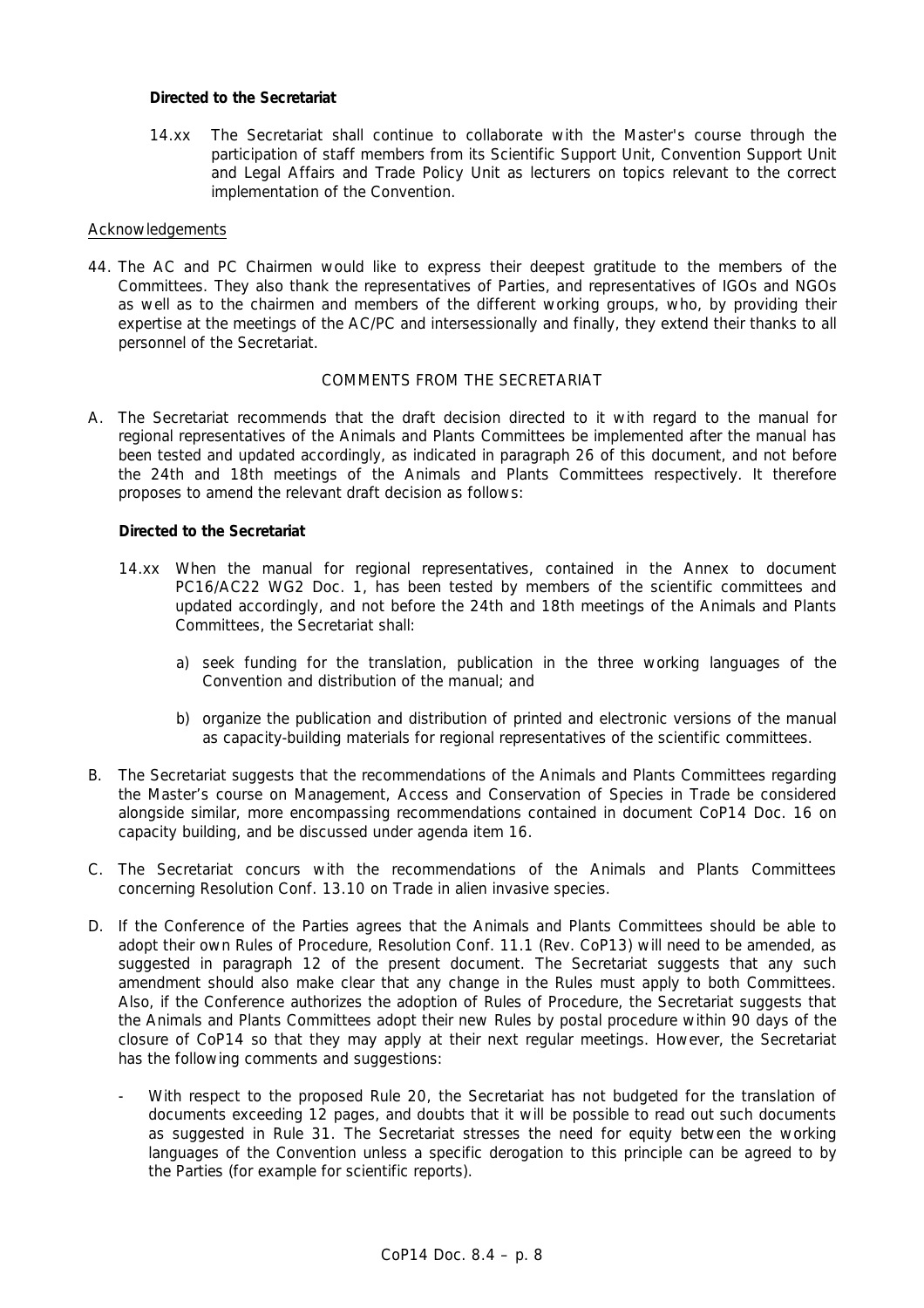## *Directed to the Secretariat*

14.xx The Secretariat shall continue to collaborate with the Master's course through the participation of staff members from its Scientific Support Unit, Convention Support Unit and Legal Affairs and Trade Policy Unit as lecturers on topics relevant to the correct implementation of the Convention.

### **Acknowledgements**

44. The AC and PC Chairmen would like to express their deepest gratitude to the members of the Committees. They also thank the representatives of Parties, and representatives of IGOs and NGOs as well as to the chairmen and members of the different working groups, who, by providing their expertise at the meetings of the AC/PC and intersessionally and finally, they extend their thanks to all personnel of the Secretariat.

### COMMENTS FROM THE SECRETARIAT

A. The Secretariat recommends that the draft decision directed to it with regard to the manual for regional representatives of the Animals and Plants Committees be implemented after the manual has been tested and updated accordingly, as indicated in paragraph 26 of this document, and not before the 24th and 18th meetings of the Animals and Plants Committees respectively. It therefore proposes to amend the relevant draft decision as follows:

### *Directed to the Secretariat*

- 14.xx When the manual for regional representatives, contained in the Annex to document PC16/AC22 WG2 Doc. 1, has been tested by members of the scientific committees and updated accordingly, and not before the 24th and 18th meetings of the Animals and Plants Committees, the Secretariat shall:
	- a) seek funding for the translation, publication in the three working languages of the Convention and distribution of the manual; and
	- b) organize the publication and distribution of printed and electronic versions of the manual as capacity-building materials for regional representatives of the scientific committees.
- B. The Secretariat suggests that the recommendations of the Animals and Plants Committees regarding the Master's course on Management, Access and Conservation of Species in Trade be considered alongside similar, more encompassing recommendations contained in document CoP14 Doc. 16 on capacity building, and be discussed under agenda item 16.
- C. The Secretariat concurs with the recommendations of the Animals and Plants Committees concerning Resolution Conf. 13.10 on Trade in alien invasive species.
- D. If the Conference of the Parties agrees that the Animals and Plants Committees should be able to adopt their own Rules of Procedure, Resolution Conf. 11.1 (Rev. CoP13) will need to be amended, as suggested in paragraph 12 of the present document. The Secretariat suggests that any such amendment should also make clear that any change in the Rules must apply to both Committees. Also, if the Conference authorizes the adoption of Rules of Procedure, the Secretariat suggests that the Animals and Plants Committees adopt their new Rules by postal procedure within 90 days of the closure of CoP14 so that they may apply at their next regular meetings. However, the Secretariat has the following comments and suggestions:
	- With respect to the proposed Rule 20, the Secretariat has not budgeted for the translation of documents exceeding 12 pages, and doubts that it will be possible to read out such documents as suggested in Rule 31. The Secretariat stresses the need for equity between the working languages of the Convention unless a specific derogation to this principle can be agreed to by the Parties (for example for scientific reports).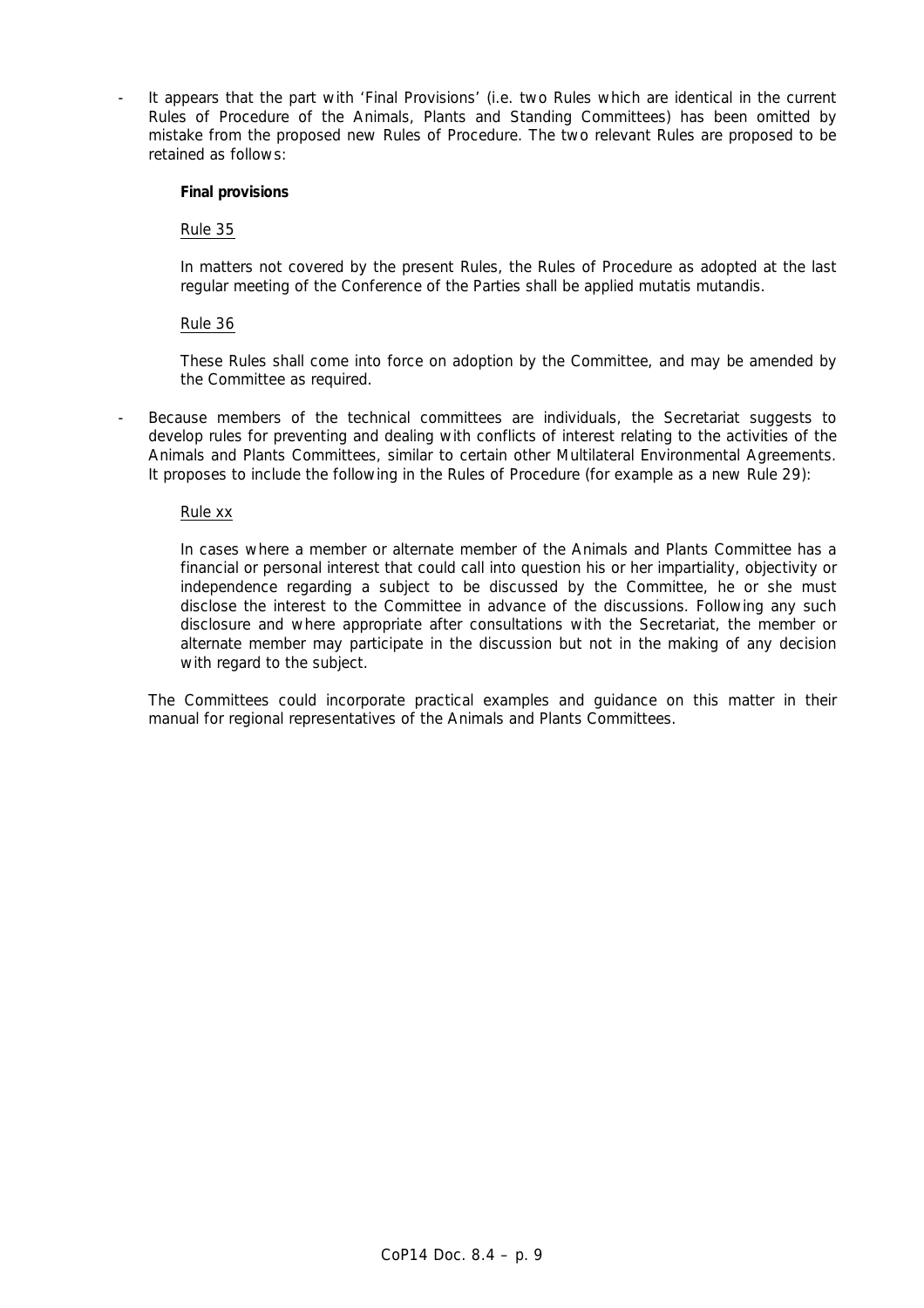It appears that the part with 'Final Provisions' (i.e. two Rules which are identical in the current Rules of Procedure of the Animals, Plants and Standing Committees) has been omitted by mistake from the proposed new Rules of Procedure. The two relevant Rules are proposed to be retained as follows:

#### **Final provisions**

Rule 35

In matters not covered by the present Rules, the Rules of Procedure as adopted at the last regular meeting of the Conference of the Parties shall be applied *mutatis mutandis*.

### Rule 36

These Rules shall come into force on adoption by the Committee, and may be amended by the Committee as required.

Because members of the technical committees are individuals, the Secretariat suggests to develop rules for preventing and dealing with conflicts of interest relating to the activities of the Animals and Plants Committees, similar to certain other Multilateral Environmental Agreements. It proposes to include the following in the Rules of Procedure (for example as a new Rule 29):

### Rule xx

In cases where a member or alternate member of the Animals and Plants Committee has a financial or personal interest that could call into question his or her impartiality, objectivity or independence regarding a subject to be discussed by the Committee, he or she must disclose the interest to the Committee in advance of the discussions. Following any such disclosure and where appropriate after consultations with the Secretariat, the member or alternate member may participate in the discussion but not in the making of any decision with regard to the subject.

The Committees could incorporate practical examples and guidance on this matter in their manual for regional representatives of the Animals and Plants Committees.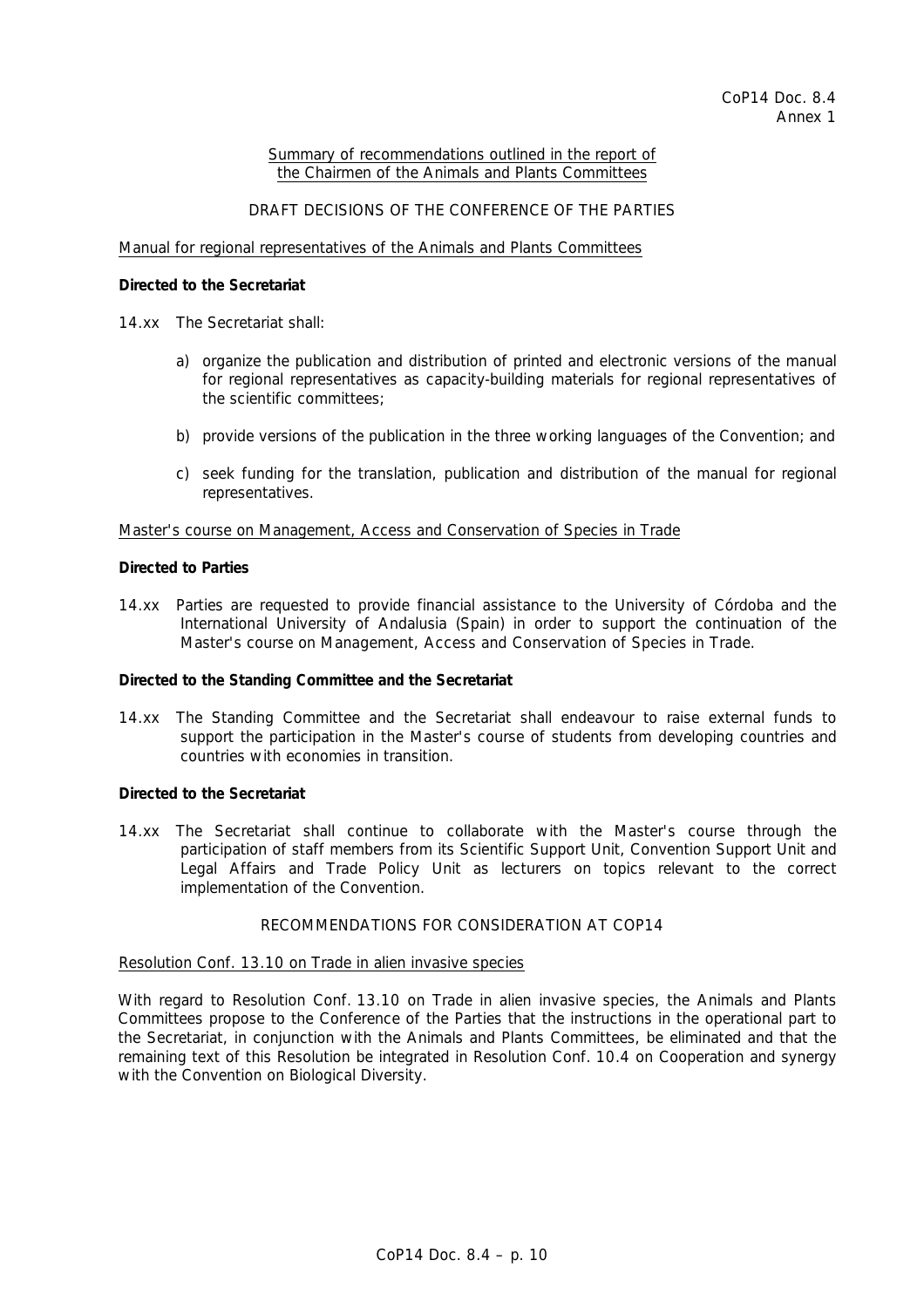#### Summary of recommendations outlined in the report of the Chairmen of the Animals and Plants Committees

### DRAFT DECISIONS OF THE CONFERENCE OF THE PARTIES

#### Manual for regional representatives of the Animals and Plants Committees

### *Directed to the Secretariat*

- 14.xx The Secretariat shall:
	- a) organize the publication and distribution of printed and electronic versions of the manual for regional representatives as capacity-building materials for regional representatives of the scientific committees;
	- b) provide versions of the publication in the three working languages of the Convention; and
	- c) seek funding for the translation, publication and distribution of the manual for regional representatives.

#### Master's course on Management, Access and Conservation of Species in Trade

#### *Directed to Parties*

14.xx Parties are requested to provide financial assistance to the University of Córdoba and the International University of Andalusia (Spain) in order to support the continuation of the Master's course on Management, Access and Conservation of Species in Trade.

#### *Directed to the Standing Committee and the Secretariat*

14.xx The Standing Committee and the Secretariat shall endeavour to raise external funds to support the participation in the Master's course of students from developing countries and countries with economies in transition.

#### *Directed to the Secretariat*

14.xx The Secretariat shall continue to collaborate with the Master's course through the participation of staff members from its Scientific Support Unit, Convention Support Unit and Legal Affairs and Trade Policy Unit as lecturers on topics relevant to the correct implementation of the Convention.

### RECOMMENDATIONS FOR CONSIDERATION AT COP14

#### Resolution Conf. 13.10 on Trade in alien invasive species

 With regard to Resolution Conf. 13.10 on Trade in alien invasive species, the Animals and Plants Committees propose to the Conference of the Parties that the instructions in the operational part to the Secretariat, in conjunction with the Animals and Plants Committees, be eliminated and that the remaining text of this Resolution be integrated in Resolution Conf. 10.4 on Cooperation and synergy with the Convention on Biological Diversity.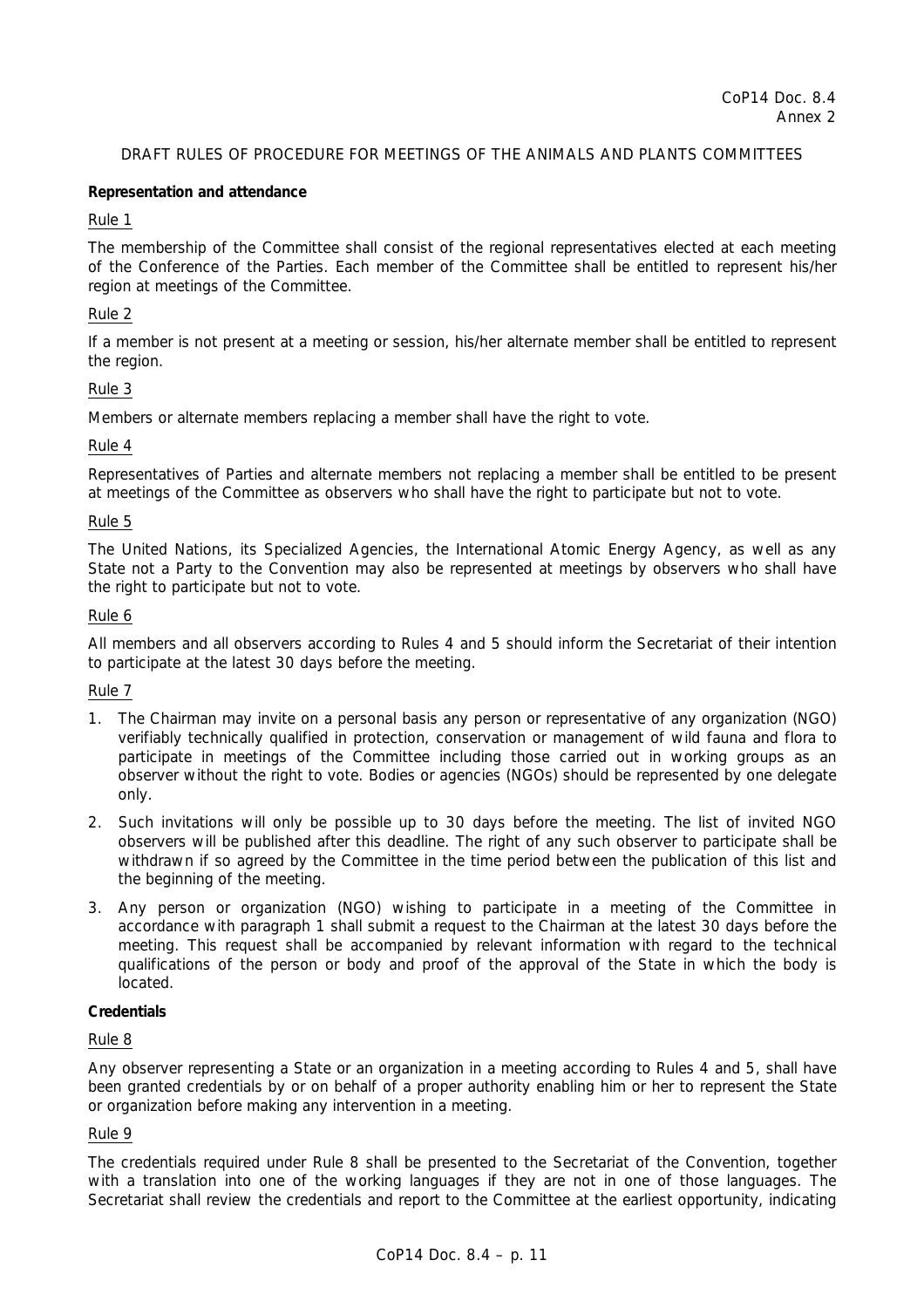# DRAFT RULES OF PROCEDURE FOR MEETINGS OF THE ANIMALS AND PLANTS COMMITTEES

### **Representation and attendance**

### Rule 1

The membership of the Committee shall consist of the regional representatives elected at each meeting of the Conference of the Parties. Each member of the Committee shall be entitled to represent his/her region at meetings of the Committee.

## Rule 2

If a member is not present at a meeting or session, his/her alternate member shall be entitled to represent the region.

### Rule 3

Members or alternate members replacing a member shall have the right to vote.

### Rule 4

Representatives of Parties and alternate members not replacing a member shall be entitled to be present at meetings of the Committee as observers who shall have the right to participate but not to vote.

### Rule 5

The United Nations, its Specialized Agencies, the International Atomic Energy Agency, as well as any State not a Party to the Convention may also be represented at meetings by observers who shall have the right to participate but not to vote.

### Rule 6

All members and all observers according to Rules 4 and 5 should inform the Secretariat of their intention to participate at the latest 30 days before the meeting.

#### Rule 7

- 1. The Chairman may invite on a personal basis any person or representative of any organization (NGO) verifiably technically qualified in protection, conservation or management of wild fauna and flora to participate in meetings of the Committee including those carried out in working groups as an observer without the right to vote. Bodies or agencies (NGOs) should be represented by one delegate only.
- 2. Such invitations will only be possible up to 30 days before the meeting. The list of invited NGO observers will be published after this deadline. The right of any such observer to participate shall be withdrawn if so agreed by the Committee in the time period between the publication of this list and the beginning of the meeting.
- 3. Any person or organization (NGO) wishing to participate in a meeting of the Committee in accordance with paragraph 1 shall submit a request to the Chairman at the latest 30 days before the meeting. This request shall be accompanied by relevant information with regard to the technical qualifications of the person or body and proof of the approval of the State in which the body is located.

## **Credentials**

#### Rule 8

Any observer representing a State or an organization in a meeting according to Rules 4 and 5, shall have been granted credentials by or on behalf of a proper authority enabling him or her to represent the State or organization before making any intervention in a meeting.

### Rule 9

The credentials required under Rule 8 shall be presented to the Secretariat of the Convention, together with a translation into one of the working languages if they are not in one of those languages. The Secretariat shall review the credentials and report to the Committee at the earliest opportunity, indicating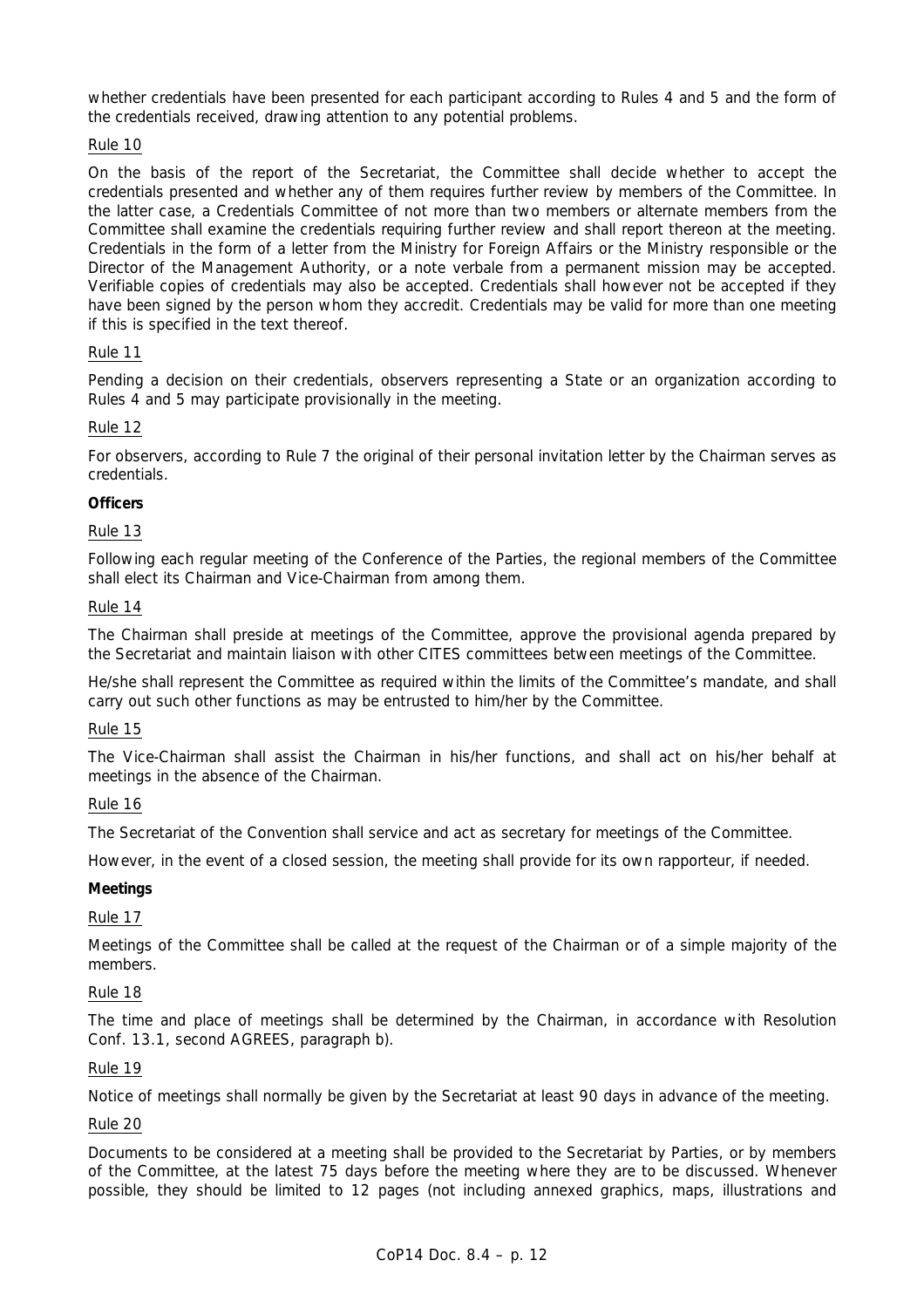whether credentials have been presented for each participant according to Rules 4 and 5 and the form of the credentials received, drawing attention to any potential problems.

## Rule 10

On the basis of the report of the Secretariat, the Committee shall decide whether to accept the credentials presented and whether any of them requires further review by members of the Committee. In the latter case, a Credentials Committee of not more than two members or alternate members from the Committee shall examine the credentials requiring further review and shall report thereon at the meeting. Credentials in the form of a letter from the Ministry for Foreign Affairs or the Ministry responsible or the Director of the Management Authority, or a note verbale from a permanent mission may be accepted. Verifiable copies of credentials may also be accepted. Credentials shall however not be accepted if they have been signed by the person whom they accredit. Credentials may be valid for more than one meeting if this is specified in the text thereof.

## Rule 11

Pending a decision on their credentials, observers representing a State or an organization according to Rules 4 and 5 may participate provisionally in the meeting.

## Rule 12

For observers, according to Rule 7 the original of their personal invitation letter by the Chairman serves as credentials.

## **Officers**

## Rule 13

Following each regular meeting of the Conference of the Parties, the regional members of the Committee shall elect its Chairman and Vice-Chairman from among them.

## Rule 14

The Chairman shall preside at meetings of the Committee, approve the provisional agenda prepared by the Secretariat and maintain liaison with other CITES committees between meetings of the Committee.

He/she shall represent the Committee as required within the limits of the Committee's mandate, and shall carry out such other functions as may be entrusted to him/her by the Committee.

## Rule 15

The Vice-Chairman shall assist the Chairman in his/her functions, and shall act on his/her behalf at meetings in the absence of the Chairman.

## Rule 16

The Secretariat of the Convention shall service and act as secretary for meetings of the Committee.

However, in the event of a closed session, the meeting shall provide for its own rapporteur, if needed.

## **Meetings**

# Rule 17

Meetings of the Committee shall be called at the request of the Chairman or of a simple majority of the members.

## Rule 18

The time and place of meetings shall be determined by the Chairman, in accordance with Resolution Conf. 13.1, second AGREES, paragraph b).

## Rule 19

Notice of meetings shall normally be given by the Secretariat at least 90 days in advance of the meeting.

## Rule 20

Documents to be considered at a meeting shall be provided to the Secretariat by Parties, or by members of the Committee, at the latest 75 days before the meeting where they are to be discussed. Whenever possible, they should be limited to 12 pages (not including annexed graphics, maps, illustrations and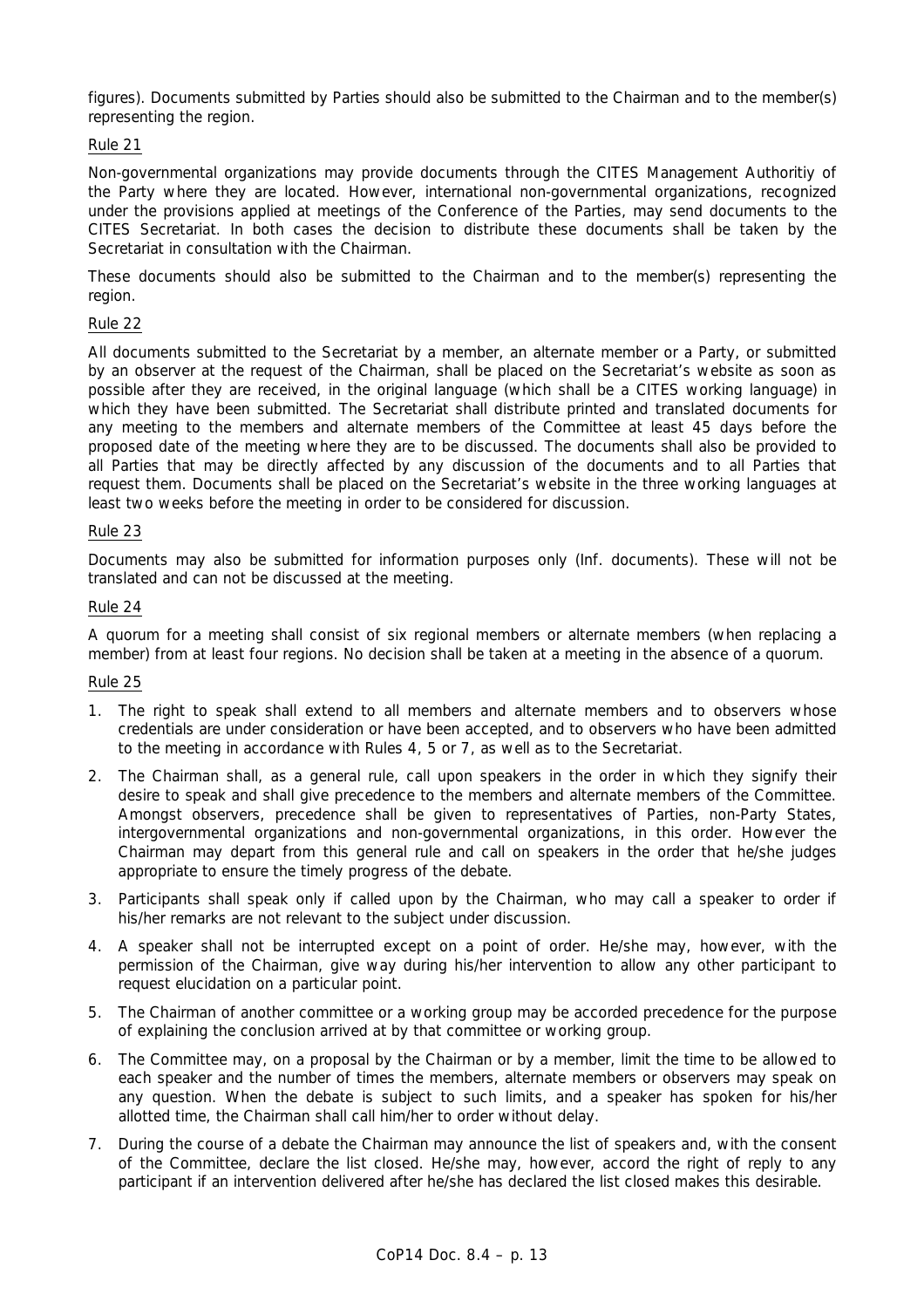figures). Documents submitted by Parties should also be submitted to the Chairman and to the member(s) representing the region.

## Rule 21

Non-governmental organizations may provide documents through the CITES Management Authoritiy of the Party where they are located. However, international non-governmental organizations, recognized under the provisions applied at meetings of the Conference of the Parties, may send documents to the CITES Secretariat. In both cases the decision to distribute these documents shall be taken by the Secretariat in consultation with the Chairman.

These documents should also be submitted to the Chairman and to the member(s) representing the region.

## Rule 22

All documents submitted to the Secretariat by a member, an alternate member or a Party, or submitted by an observer at the request of the Chairman, shall be placed on the Secretariat's website as soon as possible after they are received, in the original language (which shall be a CITES working language) in which they have been submitted. The Secretariat shall distribute printed and translated documents for any meeting to the members and alternate members of the Committee at least 45 days before the proposed date of the meeting where they are to be discussed. The documents shall also be provided to all Parties that may be directly affected by any discussion of the documents and to all Parties that request them. Documents shall be placed on the Secretariat's website in the three working languages at least two weeks before the meeting in order to be considered for discussion.

## Rule 23

Documents may also be submitted for information purposes only (Inf. documents). These will not be translated and can not be discussed at the meeting.

### Rule 24

A quorum for a meeting shall consist of six regional members or alternate members (when replacing a member) from at least four regions. No decision shall be taken at a meeting in the absence of a quorum.

## Rule 25

- 1. The right to speak shall extend to all members and alternate members and to observers whose credentials are under consideration or have been accepted, and to observers who have been admitted to the meeting in accordance with Rules 4, 5 or 7, as well as to the Secretariat.
- 2. The Chairman shall, as a general rule, call upon speakers in the order in which they signify their desire to speak and shall give precedence to the members and alternate members of the Committee. Amongst observers, precedence shall be given to representatives of Parties, non-Party States, intergovernmental organizations and non-governmental organizations, in this order. However the Chairman may depart from this general rule and call on speakers in the order that he/she judges appropriate to ensure the timely progress of the debate.
- 3. Participants shall speak only if called upon by the Chairman, who may call a speaker to order if his/her remarks are not relevant to the subject under discussion.
- 4. A speaker shall not be interrupted except on a point of order. He/she may, however, with the permission of the Chairman, give way during his/her intervention to allow any other participant to request elucidation on a particular point.
- 5. The Chairman of another committee or a working group may be accorded precedence for the purpose of explaining the conclusion arrived at by that committee or working group.
- 6. The Committee may, on a proposal by the Chairman or by a member, limit the time to be allowed to each speaker and the number of times the members, alternate members or observers may speak on any question. When the debate is subject to such limits, and a speaker has spoken for his/her allotted time, the Chairman shall call him/her to order without delay.
- 7. During the course of a debate the Chairman may announce the list of speakers and, with the consent of the Committee, declare the list closed. He/she may, however, accord the right of reply to any participant if an intervention delivered after he/she has declared the list closed makes this desirable.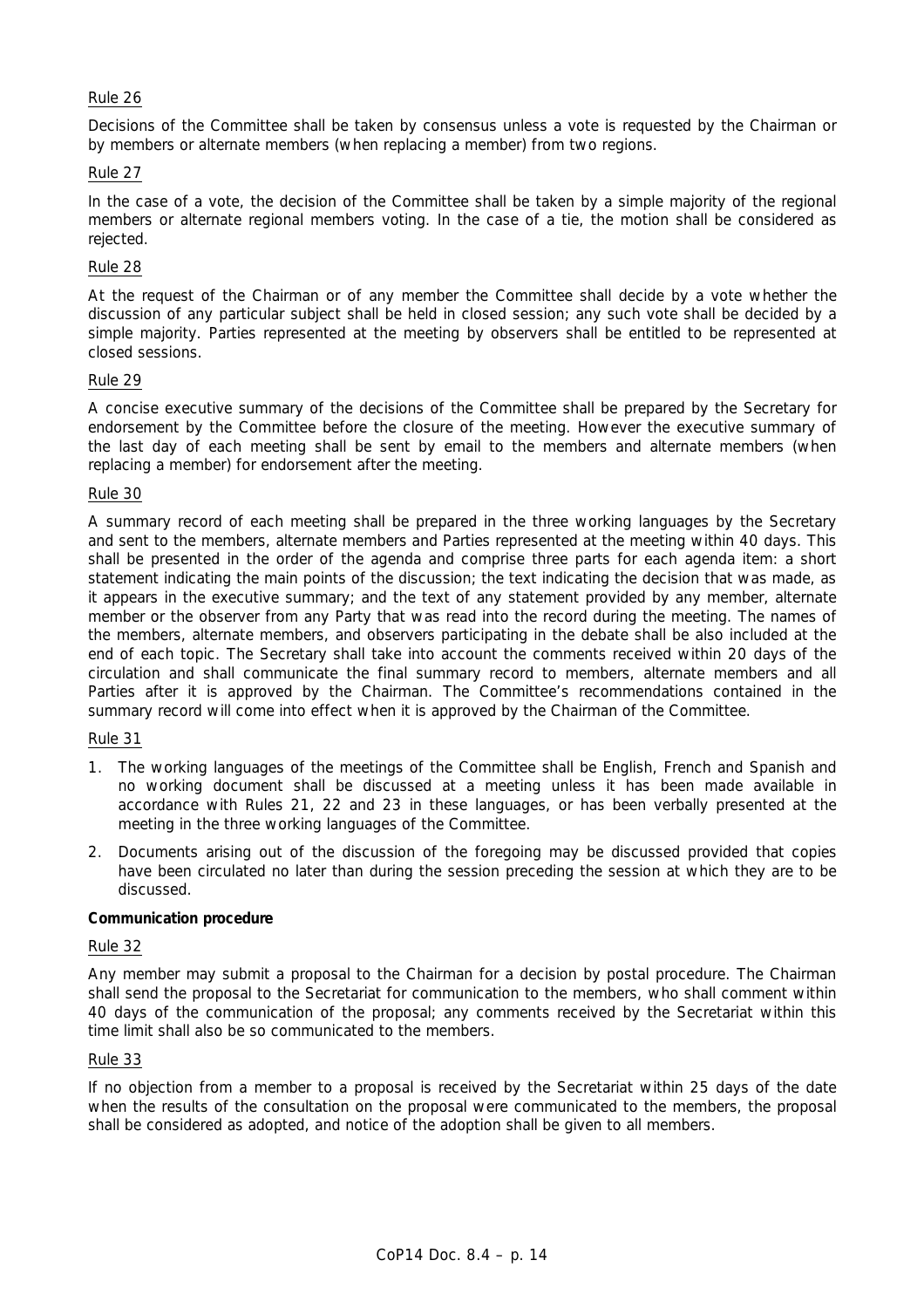## Rule 26

Decisions of the Committee shall be taken by consensus unless a vote is requested by the Chairman or by members or alternate members (when replacing a member) from two regions.

## Rule 27

In the case of a vote, the decision of the Committee shall be taken by a simple majority of the regional members or alternate regional members voting. In the case of a tie, the motion shall be considered as rejected.

## Rule 28

At the request of the Chairman or of any member the Committee shall decide by a vote whether the discussion of any particular subject shall be held in closed session; any such vote shall be decided by a simple majority. Parties represented at the meeting by observers shall be entitled to be represented at closed sessions.

## Rule 29

A concise executive summary of the decisions of the Committee shall be prepared by the Secretary for endorsement by the Committee before the closure of the meeting. However the executive summary of the last day of each meeting shall be sent by email to the members and alternate members (when replacing a member) for endorsement after the meeting.

### Rule 30

A summary record of each meeting shall be prepared in the three working languages by the Secretary and sent to the members, alternate members and Parties represented at the meeting within 40 days. This shall be presented in the order of the agenda and comprise three parts for each agenda item: a short statement indicating the main points of the discussion; the text indicating the decision that was made, as it appears in the executive summary; and the text of any statement provided by any member, alternate member or the observer from any Party that was read into the record during the meeting. The names of the members, alternate members, and observers participating in the debate shall be also included at the end of each topic. The Secretary shall take into account the comments received within 20 days of the circulation and shall communicate the final summary record to members, alternate members and all Parties after it is approved by the Chairman. The Committee's recommendations contained in the summary record will come into effect when it is approved by the Chairman of the Committee.

## Rule 31

- 1. The working languages of the meetings of the Committee shall be English, French and Spanish and no working document shall be discussed at a meeting unless it has been made available in accordance with Rules 21, 22 and 23 in these languages, or has been verbally presented at the meeting in the three working languages of the Committee.
- 2. Documents arising out of the discussion of the foregoing may be discussed provided that copies have been circulated no later than during the session preceding the session at which they are to be discussed.

## **Communication procedure**

### Rule 32

Any member may submit a proposal to the Chairman for a decision by postal procedure. The Chairman shall send the proposal to the Secretariat for communication to the members, who shall comment within 40 days of the communication of the proposal; any comments received by the Secretariat within this time limit shall also be so communicated to the members.

## Rule 33

If no objection from a member to a proposal is received by the Secretariat within 25 days of the date when the results of the consultation on the proposal were communicated to the members, the proposal shall be considered as adopted, and notice of the adoption shall be given to all members.